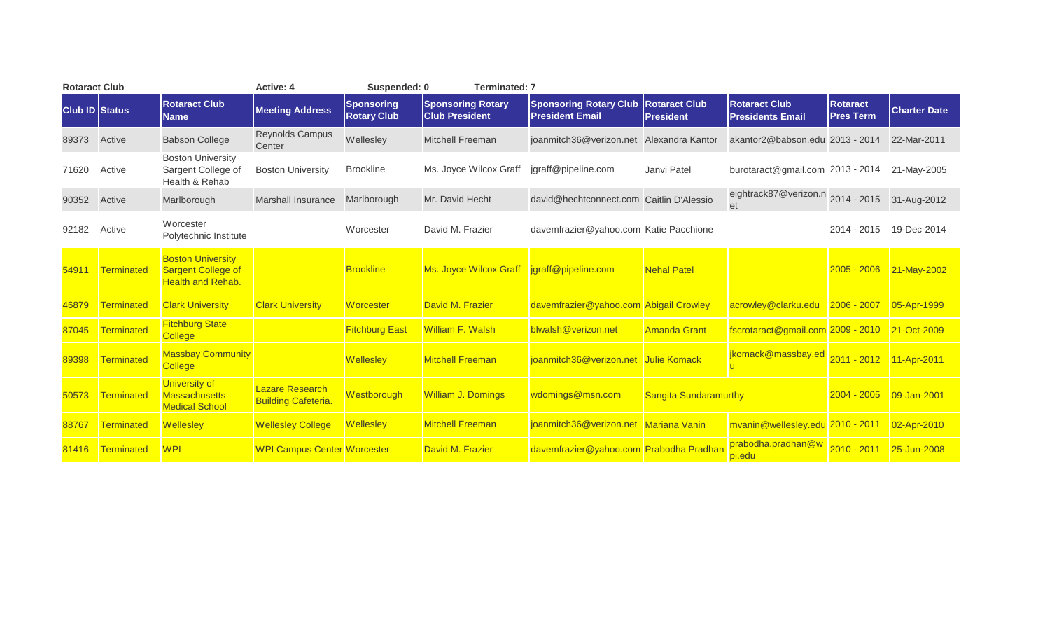| <b>Rotaract Club</b>  |                   |                                                                            | <b>Active: 4</b>                                     | Suspended: 0                            | <b>Terminated: 7</b>                              |                                                         |                                          |                                                     |                                     |                     |
|-----------------------|-------------------|----------------------------------------------------------------------------|------------------------------------------------------|-----------------------------------------|---------------------------------------------------|---------------------------------------------------------|------------------------------------------|-----------------------------------------------------|-------------------------------------|---------------------|
| <b>Club ID Status</b> |                   | <b>Rotaract Club</b><br><b>Name</b>                                        | <b>Meeting Address</b>                               | <b>Sponsoring</b><br><b>Rotary Club</b> | <b>Sponsoring Rotary</b><br><b>Club President</b> | <b>Sponsoring Rotary Club</b><br><b>President Email</b> | <b>Rotaract Club</b><br><b>President</b> | <b>Rotaract Club</b><br><b>Presidents Email</b>     | <b>Rotaract</b><br><b>Pres Term</b> | <b>Charter Date</b> |
| 89373                 | Active            | <b>Babson College</b>                                                      | <b>Reynolds Campus</b><br>Center                     | Wellesley                               | <b>Mitchell Freeman</b>                           | joanmitch36@verizon.net Alexandra Kantor                |                                          | akantor2@babson.edu 2013 - 2014                     |                                     | 22-Mar-2011         |
| 71620                 | Active            | <b>Boston University</b><br>Sargent College of<br>Health & Rehab           | <b>Boston University</b>                             | <b>Brookline</b>                        | Ms. Joyce Wilcox Graff                            | jgraff@pipeline.com                                     | Janvi Patel                              | burotaract@gmail.com 2013 - 2014                    |                                     | 21-May-2005         |
| 90352                 | Active            | Marlborough                                                                | <b>Marshall Insurance</b>                            | Marlborough                             | Mr. David Hecht                                   | david@hechtconnect.com Caitlin D'Alessio                |                                          | eightrack87@verizon.n 2014 - 2015 31-Aug-2012<br>et |                                     |                     |
| 92182                 | Active            | Worcester<br>Polytechnic Institute                                         |                                                      | Worcester                               | David M. Frazier                                  | davemfrazier@yahoo.com Katie Pacchione                  |                                          |                                                     | 2014 - 2015                         | 19-Dec-2014         |
| 54911                 | Terminated        | <b>Boston University</b><br>Sargent College of<br><b>Health and Rehab.</b> |                                                      | <b>Brookline</b>                        | Ms. Joyce Wilcox Graff jgraff@pipeline.com        |                                                         | <b>Nehal Patel</b>                       |                                                     | $2005 - 2006$                       | 21-May-2002         |
| 46879                 | Terminated        | <b>Clark University</b>                                                    | <b>Clark University</b>                              | <b>Worcester</b>                        | David M. Frazier                                  | davemfrazier@yahoo.com Abigail Crowley                  |                                          | acrowley@clarku.edu                                 | $2006 - 2007$                       | 05-Apr-1999         |
| 87045                 | Terminated        | <b>Fitchburg State</b><br><b>College</b>                                   |                                                      | <b>Fitchburg East</b>                   | <b>William F. Walsh</b>                           | blwalsh@verizon.net                                     | <b>Amanda Grant</b>                      | fscrotaract@gmail.com 2009 - 2010                   |                                     | 21-Oct-2009         |
| 89398                 | Terminated        | <b>Massbay Community</b><br><b>College</b>                                 |                                                      | <b>Wellesley</b>                        | <b>Mitchell Freeman</b>                           | joanmitch36@verizon.net Julie Komack                    |                                          | jkomack@massbay.ed 2011 - 2012                      |                                     | 11-Apr-2011         |
| 50573                 | Terminated        | <b>University of</b><br><b>Massachusetts</b><br><b>Medical School</b>      | <b>Lazare Research</b><br><b>Building Cafeteria.</b> | Westborough                             | <b>William J. Domings</b>                         | wdomings@msn.com                                        | <b>Sangita Sundaramurthy</b>             |                                                     | 2004 - 2005                         | 09-Jan-2001         |
| 88767                 | Terminated        | <b>Wellesley</b>                                                           | <b>Wellesley College</b>                             | <b>Wellesley</b>                        | <b>Mitchell Freeman</b>                           | joanmitch36@verizon.net Mariana Vanin                   |                                          | mvanin@wellesley.edu 2010 - 2011                    |                                     | 02-Apr-2010         |
| 81416                 | <b>Terminated</b> | <b>WPI</b>                                                                 | <b>WPI Campus Center Worcester</b>                   |                                         | David M. Frazier                                  | davemfrazier@yahoo.com Prabodha Pradhar                 |                                          | prabodha.pradhan@w<br>pi.edu                        | $2010 - 2011$                       | 25-Jun-2008         |